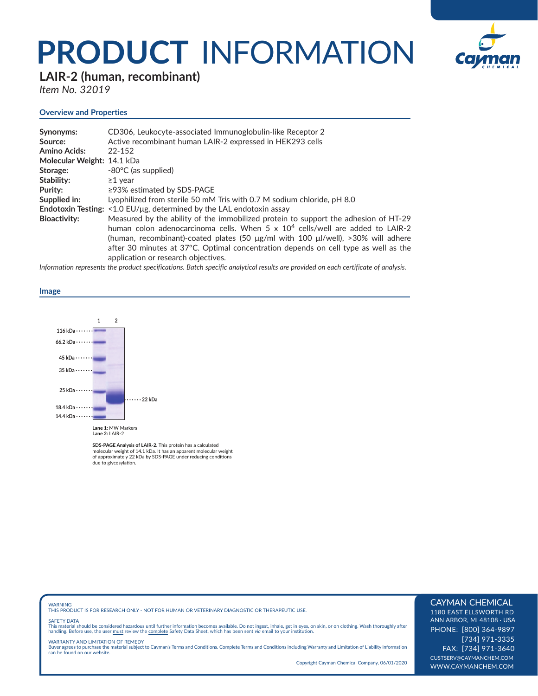## **PRODUCT** INFORMATION



**LAIR-2 (human, recombinant)** 

*Item No. 32019*

### **Overview and Properties**

| Synonyms:                  | CD306, Leukocyte-associated Immunoglobulin-like Receptor 2                                 |
|----------------------------|--------------------------------------------------------------------------------------------|
| Source:                    | Active recombinant human LAIR-2 expressed in HEK293 cells                                  |
| <b>Amino Acids:</b>        | $22 - 152$                                                                                 |
| Molecular Weight: 14.1 kDa |                                                                                            |
| Storage:                   | -80°C (as supplied)                                                                        |
| Stability:                 | $\geq$ 1 year                                                                              |
| Purity:                    | $\geq$ 93% estimated by SDS-PAGE                                                           |
| Supplied in:               | Lyophilized from sterile 50 mM Tris with 0.7 M sodium chloride, pH 8.0                     |
|                            | <b>Endotoxin Testing:</b> $\leq 1.0$ EU/µg, determined by the LAL endotoxin assay          |
| <b>Bioactivity:</b>        | Measured by the ability of the immobilized protein to support the adhesion of HT-29        |
|                            | human colon adenocarcinoma cells. When $5 \times 10^4$ cells/well are added to LAIR-2      |
|                            | (human, recombinant)-coated plates (50 $\mu$ g/ml with 100 $\mu$ l/well), >30% will adhere |
|                            | after 30 minutes at 37°C. Optimal concentration depends on cell type as well as the        |
|                            | application or research objectives.                                                        |

*Information represents the product specifications. Batch specific analytical results are provided on each certificate of analysis.*

#### **Image**



**SDS-PAGE Analysis of LAIR-2.** This protein has a calculated molecular weight of 14.1 kDa. It has an apparent molecular weight of approximately 22 kDa by SDS-PAGE under reducing conditions due to glycosylation.

WARNING THIS PRODUCT IS FOR RESEARCH ONLY - NOT FOR HUMAN OR VETERINARY DIAGNOSTIC OR THERAPEUTIC USE.

#### SAFETY DATA

This material should be considered hazardous until further information becomes available. Do not ingest, inhale, get in eyes, on skin, or on clothing. Wash thoroughly after<br>handling. Before use, the user must review the co

WARRANTY AND LIMITATION OF REMEDY Buyer agrees to purchase the material subject to Cayman's Terms and Conditions. Complete Terms and Conditions including Warranty and Limitation of Liability information can be found on our website.

Copyright Cayman Chemical Company, 06/01/2020

#### CAYMAN CHEMICAL

1180 EAST ELLSWORTH RD ANN ARBOR, MI 48108 · USA PHONE: [800] 364-9897 [734] 971-3335 FAX: [734] 971-3640 CUSTSERV@CAYMANCHEM.COM WWW.CAYMANCHEM.COM